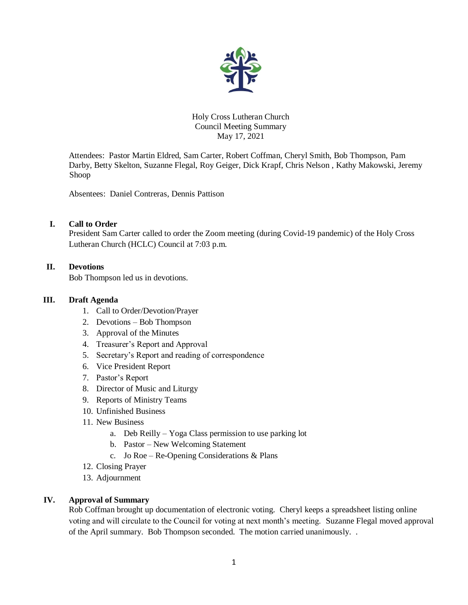

## Holy Cross Lutheran Church Council Meeting Summary May 17, 2021

Attendees: Pastor Martin Eldred, Sam Carter, Robert Coffman, Cheryl Smith, Bob Thompson, Pam Darby, Betty Skelton, Suzanne Flegal, Roy Geiger, Dick Krapf, Chris Nelson , Kathy Makowski, Jeremy Shoop

Absentees: Daniel Contreras, Dennis Pattison

## **I. Call to Order**

President Sam Carter called to order the Zoom meeting (during Covid-19 pandemic) of the Holy Cross Lutheran Church (HCLC) Council at 7:03 p.m.

# **II. Devotions**

Bob Thompson led us in devotions.

## **III. Draft Agenda**

- 1. Call to Order/Devotion/Prayer
- 2. Devotions Bob Thompson
- 3. Approval of the Minutes
- 4. Treasurer's Report and Approval
- 5. Secretary's Report and reading of correspondence
- 6. Vice President Report
- 7. Pastor's Report
- 8. Director of Music and Liturgy
- 9. Reports of Ministry Teams
- 10. Unfinished Business
- 11. New Business
	- a. Deb Reilly Yoga Class permission to use parking lot
	- b. Pastor New Welcoming Statement
	- c. Jo Roe Re-Opening Considerations & Plans
- 12. Closing Prayer
- 13. Adjournment

## **IV. Approval of Summary**

Rob Coffman brought up documentation of electronic voting. Cheryl keeps a spreadsheet listing online voting and will circulate to the Council for voting at next month's meeting. Suzanne Flegal moved approval of the April summary. Bob Thompson seconded. The motion carried unanimously. .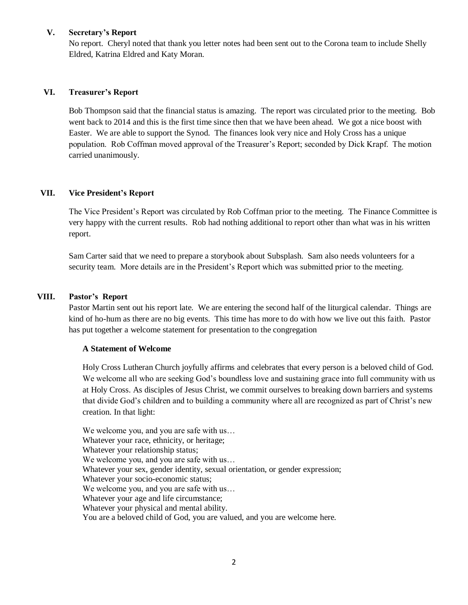## **V. Secretary's Report**

No report. Cheryl noted that thank you letter notes had been sent out to the Corona team to include Shelly Eldred, Katrina Eldred and Katy Moran.

## **VI. Treasurer's Report**

Bob Thompson said that the financial status is amazing. The report was circulated prior to the meeting. Bob went back to 2014 and this is the first time since then that we have been ahead. We got a nice boost with Easter. We are able to support the Synod. The finances look very nice and Holy Cross has a unique population. Rob Coffman moved approval of the Treasurer's Report; seconded by Dick Krapf. The motion carried unanimously.

# **VII. Vice President's Report**

The Vice President's Report was circulated by Rob Coffman prior to the meeting.The Finance Committee is very happy with the current results. Rob had nothing additional to report other than what was in his written report.

Sam Carter said that we need to prepare a storybook about Subsplash. Sam also needs volunteers for a security team. More details are in the President's Report which was submitted prior to the meeting.

## **VIII. Pastor's Report**

Pastor Martin sent out his report late. We are entering the second half of the liturgical calendar. Things are kind of ho-hum as there are no big events. This time has more to do with how we live out this faith. Pastor has put together a welcome statement for presentation to the congregation

## **A Statement of Welcome**

Holy Cross Lutheran Church joyfully affirms and celebrates that every person is a beloved child of God. We welcome all who are seeking God's boundless love and sustaining grace into full community with us at Holy Cross. As disciples of Jesus Christ, we commit ourselves to breaking down barriers and systems that divide God's children and to building a community where all are recognized as part of Christ's new creation. In that light:

We welcome you, and you are safe with us... Whatever your race, ethnicity, or heritage; Whatever your relationship status; We welcome you, and you are safe with us... Whatever your sex, gender identity, sexual orientation, or gender expression; Whatever your socio-economic status; We welcome you, and you are safe with us... Whatever your age and life circumstance; Whatever your physical and mental ability. You are a beloved child of God, you are valued, and you are welcome here.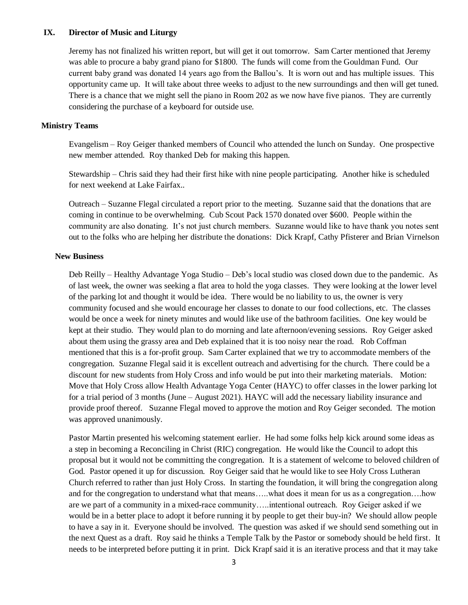#### **IX. Director of Music and Liturgy**

Jeremy has not finalized his written report, but will get it out tomorrow. Sam Carter mentioned that Jeremy was able to procure a baby grand piano for \$1800. The funds will come from the Gouldman Fund. Our current baby grand was donated 14 years ago from the Ballou's. It is worn out and has multiple issues. This opportunity came up. It will take about three weeks to adjust to the new surroundings and then will get tuned. There is a chance that we might sell the piano in Room 202 as we now have five pianos. They are currently considering the purchase of a keyboard for outside use.

#### **Ministry Teams**

Evangelism – Roy Geiger thanked members of Council who attended the lunch on Sunday. One prospective new member attended. Roy thanked Deb for making this happen.

Stewardship – Chris said they had their first hike with nine people participating. Another hike is scheduled for next weekend at Lake Fairfax..

Outreach – Suzanne Flegal circulated a report prior to the meeting. Suzanne said that the donations that are coming in continue to be overwhelming. Cub Scout Pack 1570 donated over \$600. People within the community are also donating. It's not just church members. Suzanne would like to have thank you notes sent out to the folks who are helping her distribute the donations: Dick Krapf, Cathy Pfisterer and Brian Virnelson

#### **New Business**

Deb Reilly – Healthy Advantage Yoga Studio – Deb's local studio was closed down due to the pandemic. As of last week, the owner was seeking a flat area to hold the yoga classes. They were looking at the lower level of the parking lot and thought it would be idea. There would be no liability to us, the owner is very community focused and she would encourage her classes to donate to our food collections, etc. The classes would be once a week for ninety minutes and would like use of the bathroom facilities. One key would be kept at their studio. They would plan to do morning and late afternoon/evening sessions. Roy Geiger asked about them using the grassy area and Deb explained that it is too noisy near the road. Rob Coffman mentioned that this is a for-profit group. Sam Carter explained that we try to accommodate members of the congregation. Suzanne Flegal said it is excellent outreach and advertising for the church. There could be a discount for new students from Holy Cross and info would be put into their marketing materials. Motion: Move that Holy Cross allow Health Advantage Yoga Center (HAYC) to offer classes in the lower parking lot for a trial period of 3 months (June – August 2021). HAYC will add the necessary liability insurance and provide proof thereof. Suzanne Flegal moved to approve the motion and Roy Geiger seconded. The motion was approved unanimously.

Pastor Martin presented his welcoming statement earlier. He had some folks help kick around some ideas as a step in becoming a Reconciling in Christ (RIC) congregation. He would like the Council to adopt this proposal but it would not be committing the congregation. It is a statement of welcome to beloved children of God. Pastor opened it up for discussion. Roy Geiger said that he would like to see Holy Cross Lutheran Church referred to rather than just Holy Cross. In starting the foundation, it will bring the congregation along and for the congregation to understand what that means…..what does it mean for us as a congregation….how are we part of a community in a mixed-race community…..intentional outreach. Roy Geiger asked if we would be in a better place to adopt it before running it by people to get their buy-in? We should allow people to have a say in it. Everyone should be involved. The question was asked if we should send something out in the next Quest as a draft. Roy said he thinks a Temple Talk by the Pastor or somebody should be held first. It needs to be interpreted before putting it in print. Dick Krapf said it is an iterative process and that it may take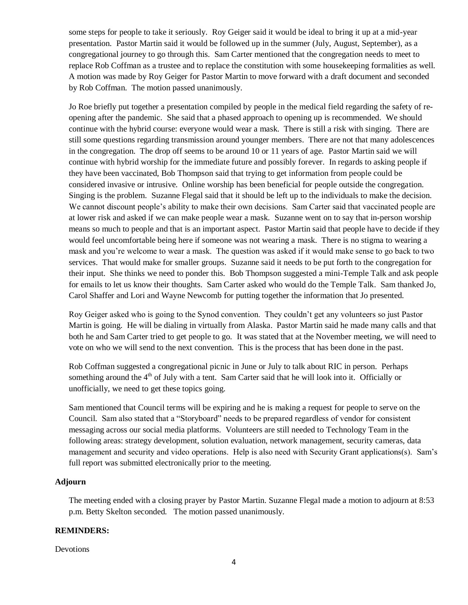some steps for people to take it seriously. Roy Geiger said it would be ideal to bring it up at a mid-year presentation. Pastor Martin said it would be followed up in the summer (July, August, September), as a congregational journey to go through this. Sam Carter mentioned that the congregation needs to meet to replace Rob Coffman as a trustee and to replace the constitution with some housekeeping formalities as well. A motion was made by Roy Geiger for Pastor Martin to move forward with a draft document and seconded by Rob Coffman. The motion passed unanimously.

Jo Roe briefly put together a presentation compiled by people in the medical field regarding the safety of reopening after the pandemic. She said that a phased approach to opening up is recommended. We should continue with the hybrid course: everyone would wear a mask. There is still a risk with singing. There are still some questions regarding transmission around younger members. There are not that many adolescences in the congregation. The drop off seems to be around 10 or 11 years of age. Pastor Martin said we will continue with hybrid worship for the immediate future and possibly forever. In regards to asking people if they have been vaccinated, Bob Thompson said that trying to get information from people could be considered invasive or intrusive. Online worship has been beneficial for people outside the congregation. Singing is the problem. Suzanne Flegal said that it should be left up to the individuals to make the decision. We cannot discount people's ability to make their own decisions. Sam Carter said that vaccinated people are at lower risk and asked if we can make people wear a mask. Suzanne went on to say that in-person worship means so much to people and that is an important aspect. Pastor Martin said that people have to decide if they would feel uncomfortable being here if someone was not wearing a mask. There is no stigma to wearing a mask and you're welcome to wear a mask. The question was asked if it would make sense to go back to two services. That would make for smaller groups. Suzanne said it needs to be put forth to the congregation for their input. She thinks we need to ponder this. Bob Thompson suggested a mini-Temple Talk and ask people for emails to let us know their thoughts. Sam Carter asked who would do the Temple Talk. Sam thanked Jo, Carol Shaffer and Lori and Wayne Newcomb for putting together the information that Jo presented.

Roy Geiger asked who is going to the Synod convention. They couldn't get any volunteers so just Pastor Martin is going. He will be dialing in virtually from Alaska. Pastor Martin said he made many calls and that both he and Sam Carter tried to get people to go. It was stated that at the November meeting, we will need to vote on who we will send to the next convention. This is the process that has been done in the past.

Rob Coffman suggested a congregational picnic in June or July to talk about RIC in person. Perhaps something around the  $4<sup>th</sup>$  of July with a tent. Sam Carter said that he will look into it. Officially or unofficially, we need to get these topics going.

Sam mentioned that Council terms will be expiring and he is making a request for people to serve on the Council. Sam also stated that a "Storyboard" needs to be prepared regardless of vendor for consistent messaging across our social media platforms. Volunteers are still needed to Technology Team in the following areas: strategy development, solution evaluation, network management, security cameras, data management and security and video operations. Help is also need with Security Grant applications(s). Sam's full report was submitted electronically prior to the meeting.

## **Adjourn**

The meeting ended with a closing prayer by Pastor Martin. Suzanne Flegal made a motion to adjourn at 8:53 p.m. Betty Skelton seconded. The motion passed unanimously.

## **REMINDERS:**

Devotions